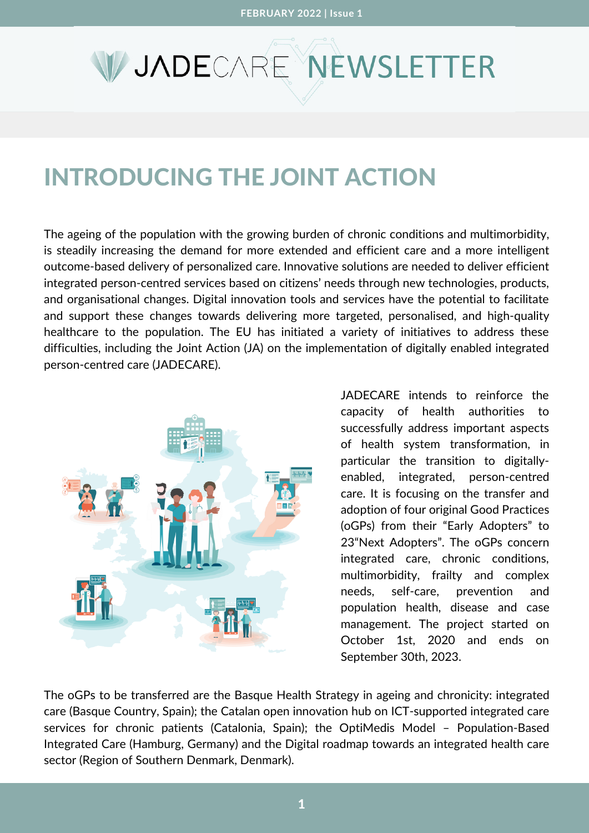## **V JADE**CARE NEWSLETTER

## INTRODUCING THE JOINT ACTION

The ageing of the population with the growing burden of chronic conditions and multimorbidity, is steadily increasing the demand for more extended and efficient care and a more intelligent outcome-based delivery of personalized care. Innovative solutions are needed to deliver efficient integrated person-centred services based on citizens' needs through new technologies, products, and organisational changes. Digital innovation tools and services have the potential to facilitate and support these changes towards delivering more targeted, personalised, and high-quality healthcare to the population. The EU has initiated a variety of initiatives to address these difficulties, including the Joint Action (JA) on the implementation of digitally enabled integrated person-centred care (JADECARE).



JADECARE intends to reinforce the capacity of health authorities to successfully address important aspects of health system transformation, in particular the transition to digitallyenabled, integrated, person-centred care. It is focusing on the transfer and adoption of four original Good Practices (oGPs) from their "Early Adopters" to 23"Next Adopters". The oGPs concern integrated care, chronic conditions, multimorbidity, frailty and complex needs, self-care, prevention and population health, disease and case management. The project started on October 1st, 2020 and ends on September 30th, 2023.

The oGPs to be transferred are the Basque Health Strategy in ageing and chronicity: integrated care (Basque Country, Spain); the Catalan open innovation hub on ICT-supported integrated care services for chronic patients (Catalonia, Spain); the OptiMedis Model – Population-Based Integrated Care (Hamburg, Germany) and the Digital roadmap towards an integrated health care sector (Region of Southern Denmark, Denmark).